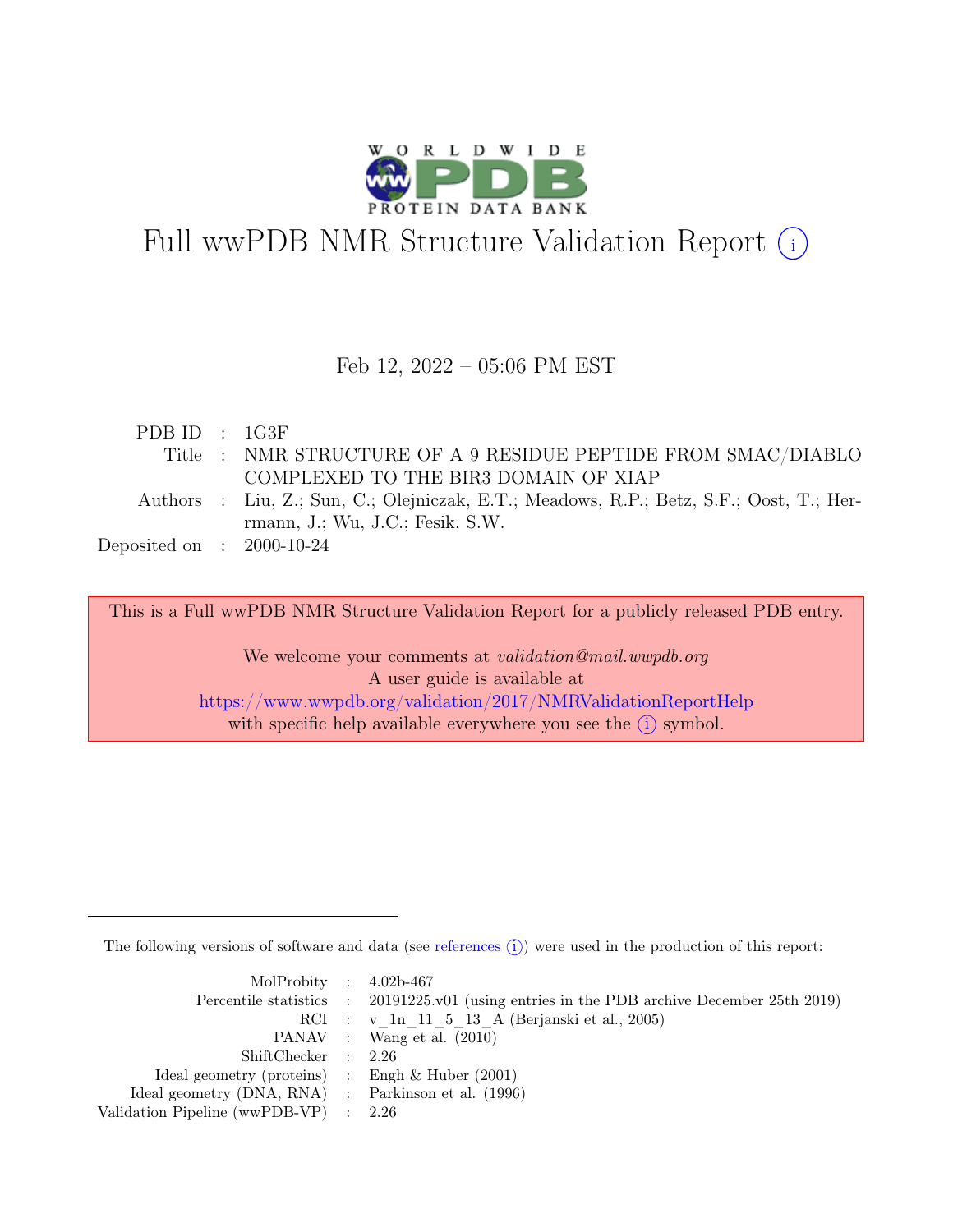

# Full wwPDB NMR Structure Validation Report (i)

### Feb 12, 2022 – 05:06 PM EST

| PDBID : 1G3F                |                                                                                         |
|-----------------------------|-----------------------------------------------------------------------------------------|
|                             | Title : NMR STRUCTURE OF A 9 RESIDUE PEPTIDE FROM SMAC/DIABLO                           |
|                             | COMPLEXED TO THE BIR3 DOMAIN OF XIAP                                                    |
|                             | Authors : Liu, Z.; Sun, C.; Olejniczak, E.T.; Meadows, R.P.; Betz, S.F.; Oost, T.; Her- |
|                             | $r$ mann, J.; Wu, J.C.; Fesik, S.W.                                                     |
| Deposited on : $2000-10-24$ |                                                                                         |

This is a Full wwPDB NMR Structure Validation Report for a publicly released PDB entry.

We welcome your comments at *validation@mail.wwpdb.org* A user guide is available at <https://www.wwpdb.org/validation/2017/NMRValidationReportHelp> with specific help available everywhere you see the  $(i)$  symbol.

The following versions of software and data (see [references](https://www.wwpdb.org/validation/2017/NMRValidationReportHelp#references)  $\hat{I}$ ) were used in the production of this report:

| MolProbity : $4.02b-467$                            |                                                                                            |
|-----------------------------------------------------|--------------------------------------------------------------------------------------------|
|                                                     | Percentile statistics : 20191225.v01 (using entries in the PDB archive December 25th 2019) |
|                                                     | RCI : v 1n 11 5 13 A (Berjanski et al., 2005)                                              |
|                                                     | PANAV : Wang et al. (2010)                                                                 |
| ShiftChecker : 2.26                                 |                                                                                            |
| Ideal geometry (proteins) : Engh $\&$ Huber (2001)  |                                                                                            |
| Ideal geometry (DNA, RNA) : Parkinson et al. (1996) |                                                                                            |
| Validation Pipeline (wwPDB-VP) $\therefore$ 2.26    |                                                                                            |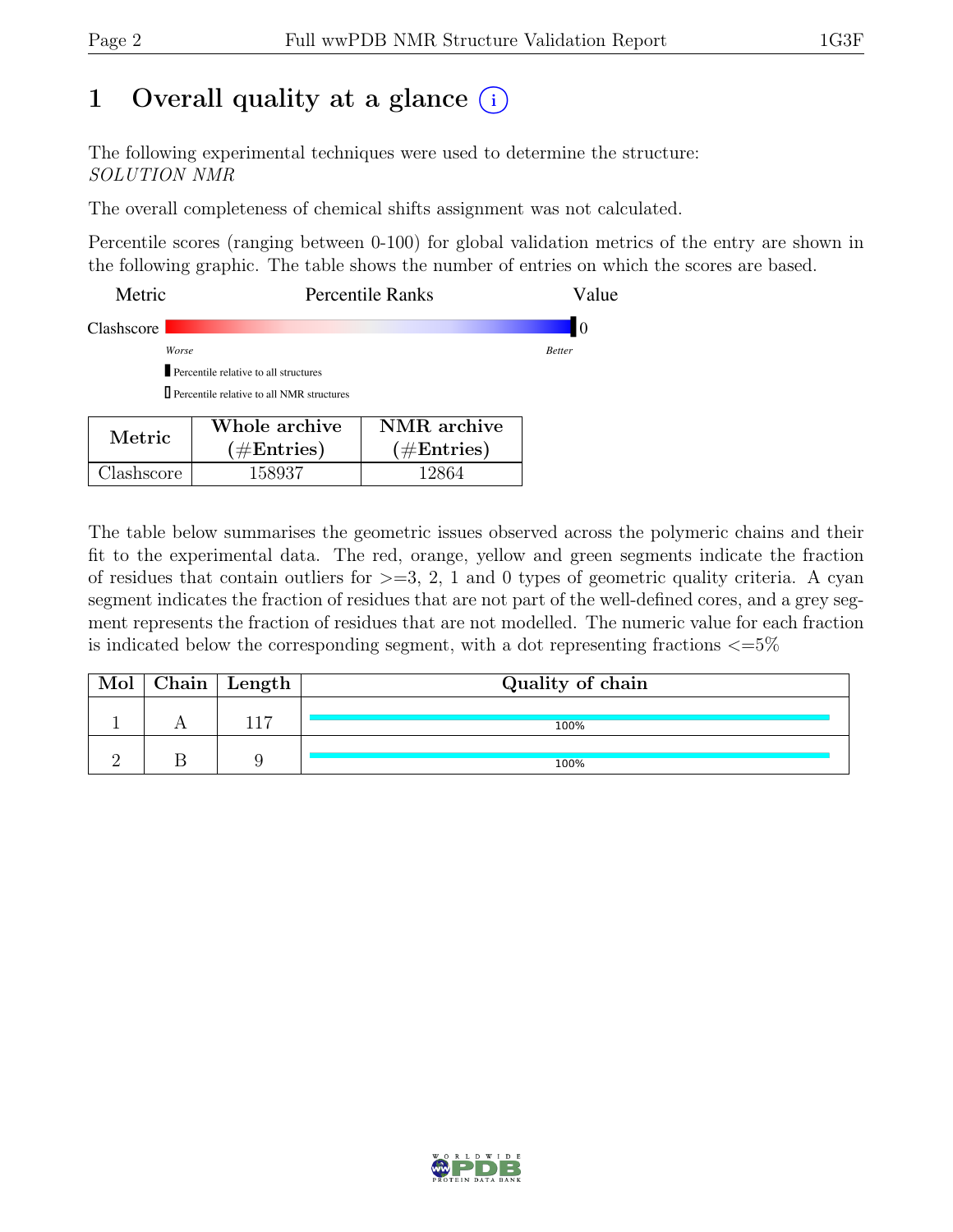## 1 Overall quality at a glance  $(i)$

The following experimental techniques were used to determine the structure: SOLUTION NMR

The overall completeness of chemical shifts assignment was not calculated.

Percentile scores (ranging between 0-100) for global validation metrics of the entry are shown in the following graphic. The table shows the number of entries on which the scores are based.

| Metric     | <b>Percentile Ranks</b>                                                                        | Value         |
|------------|------------------------------------------------------------------------------------------------|---------------|
| Clashscore |                                                                                                | 10            |
|            | Worse                                                                                          | <b>Better</b> |
|            | Percentile relative to all structures                                                          |               |
|            | $\Box$ Percentile relative to all NMR structures                                               |               |
| Metric     | NMR archive<br>Whole archive<br>$(1/\mathbf{E}_{\text{ref}})$<br>$(1/\mathbf{E}_{\text{ref}})$ |               |

 $(\#\text{Entries})$ 

Clashscore 158937 12864

The table below summarises the geometric issues observed across the polymeric chains and their fit to the experimental data. The red, orange, yellow and green segments indicate the fraction of residues that contain outliers for  $>=$  3, 2, 1 and 0 types of geometric quality criteria. A cyan segment indicates the fraction of residues that are not part of the well-defined cores, and a grey segment represents the fraction of residues that are not modelled. The numeric value for each fraction is indicated below the corresponding segment, with a dot representing fractions  $\epsilon = 5\%$ 

 $(\#\text{Entries})$ 

| Mol | Chain   Length | Quality of chain |
|-----|----------------|------------------|
|     |                | 100%             |
|     |                | 100%             |

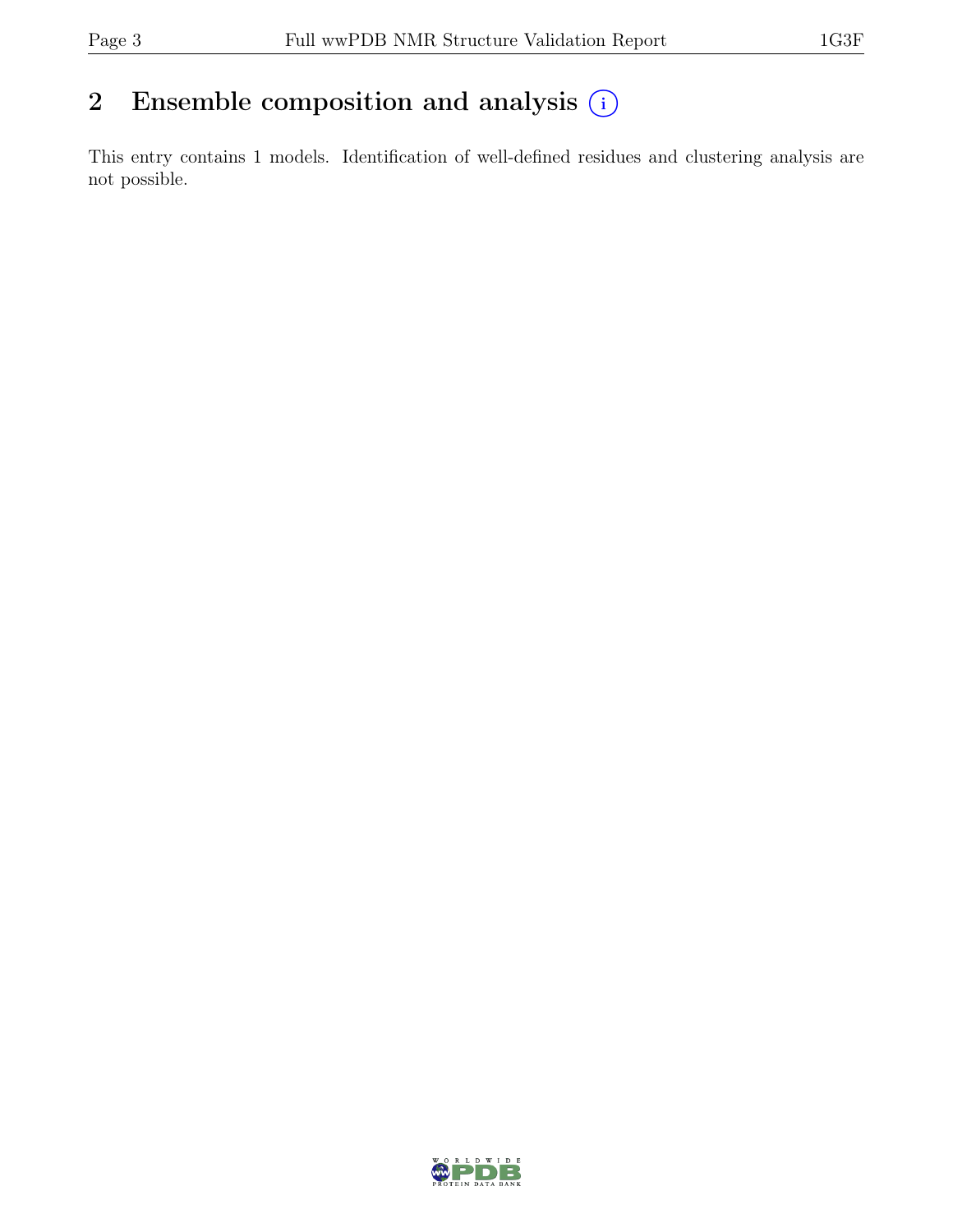## 2 Ensemble composition and analysis  $(i)$

This entry contains 1 models. Identification of well-defined residues and clustering analysis are not possible.

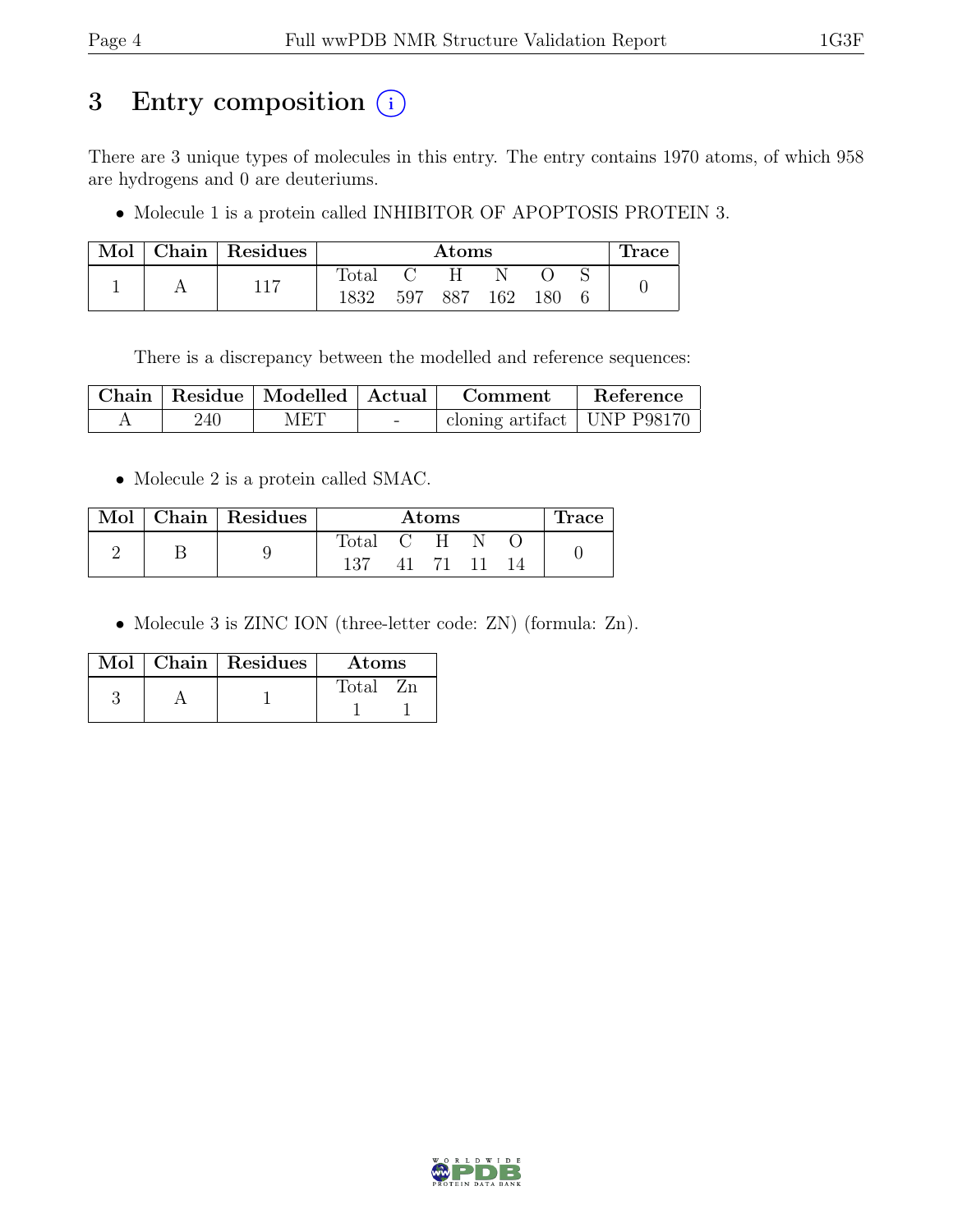## 3 Entry composition (i)

There are 3 unique types of molecules in this entry. The entry contains 1970 atoms, of which 958 are hydrogens and 0 are deuteriums.

• Molecule 1 is a protein called INHIBITOR OF APOPTOSIS PROTEIN 3.

| Mol |  | Chain Residues |                | $\rm{Atoms}$ |     |      |  |  |  |
|-----|--|----------------|----------------|--------------|-----|------|--|--|--|
|     |  | 117            | $_{\rm Total}$ |              |     |      |  |  |  |
|     |  | 1832           | 597            | 887          | 162 | 180. |  |  |  |

There is a discrepancy between the modelled and reference sequences:

|     | Chain   Residue   Modelled   Actual |            | Comment                             | Reference |
|-----|-------------------------------------|------------|-------------------------------------|-----------|
| 240 | MET                                 | $\sim$ $-$ | $\pm$ cloning artifact   UNP P98170 |           |

• Molecule 2 is a protein called SMAC.

|  | Mol   Chain   Residues | Atoms     |  |       |  |  | Trace |
|--|------------------------|-----------|--|-------|--|--|-------|
|  |                        | Total C H |  |       |  |  |       |
|  |                        | 137       |  | 41 71 |  |  |       |

• Molecule 3 is ZINC ION (three-letter code: ZN) (formula: Zn).

|  | $Mol$   Chain   Residues<br>Atoms |             |
|--|-----------------------------------|-------------|
|  |                                   | Total<br>Zn |
|  |                                   |             |

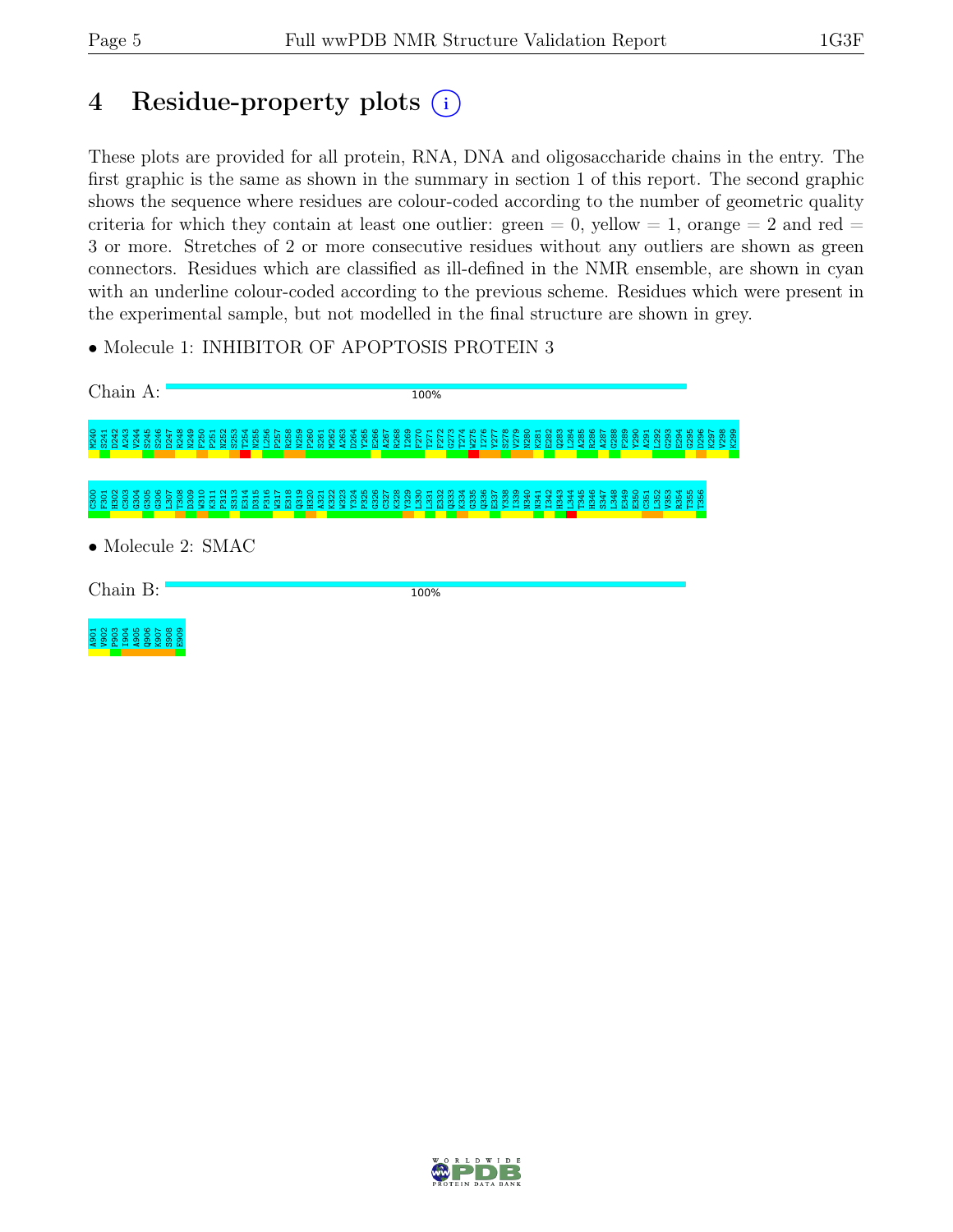## 4 Residue-property plots (i)

These plots are provided for all protein, RNA, DNA and oligosaccharide chains in the entry. The first graphic is the same as shown in the summary in section 1 of this report. The second graphic shows the sequence where residues are colour-coded according to the number of geometric quality criteria for which they contain at least one outlier: green  $= 0$ , yellow  $= 1$ , orange  $= 2$  and red  $=$ 3 or more. Stretches of 2 or more consecutive residues without any outliers are shown as green connectors. Residues which are classified as ill-defined in the NMR ensemble, are shown in cyan with an underline colour-coded according to the previous scheme. Residues which were present in the experimental sample, but not modelled in the final structure are shown in grey.

• Molecule 1: INHIBITOR OF APOPTOSIS PROTEIN 3



Chain B:

100%



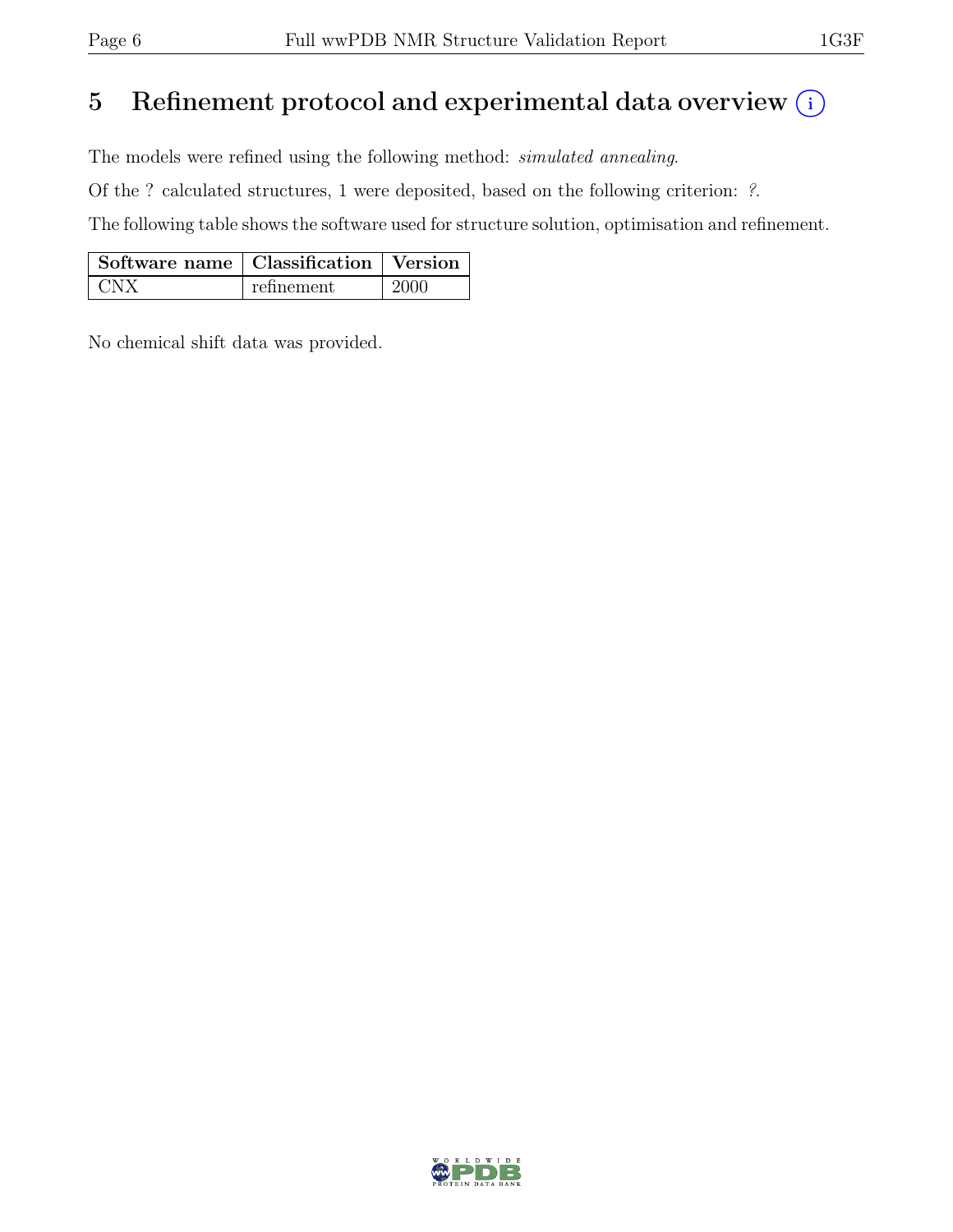## 5 Refinement protocol and experimental data overview  $\binom{1}{k}$

The models were refined using the following method: simulated annealing.

Of the ? calculated structures, 1 were deposited, based on the following criterion: ?.

The following table shows the software used for structure solution, optimisation and refinement.

| Software name   Classification   Version |            |      |
|------------------------------------------|------------|------|
|                                          | refinement | 2000 |

No chemical shift data was provided.

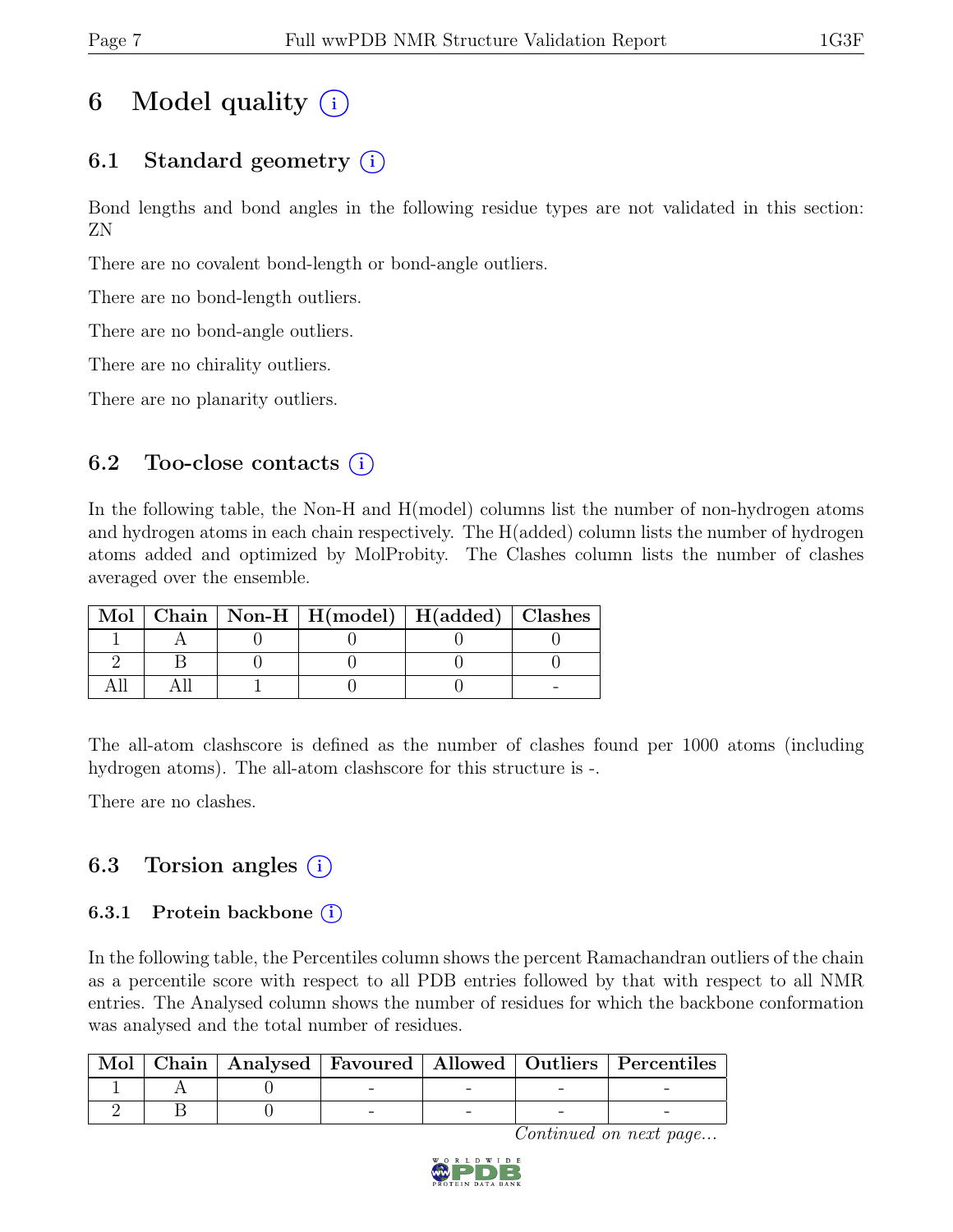## 6 Model quality  $(i)$

## 6.1 Standard geometry  $(i)$

Bond lengths and bond angles in the following residue types are not validated in this section: ZN

There are no covalent bond-length or bond-angle outliers.

There are no bond-length outliers.

There are no bond-angle outliers.

There are no chirality outliers.

There are no planarity outliers.

### 6.2 Too-close contacts  $(i)$

In the following table, the Non-H and H(model) columns list the number of non-hydrogen atoms and hydrogen atoms in each chain respectively. The H(added) column lists the number of hydrogen atoms added and optimized by MolProbity. The Clashes column lists the number of clashes averaged over the ensemble.

|  | Mol   Chain   Non-H   H(model)   H(added)   Clashes |  |
|--|-----------------------------------------------------|--|
|  |                                                     |  |
|  |                                                     |  |
|  |                                                     |  |

The all-atom clashscore is defined as the number of clashes found per 1000 atoms (including hydrogen atoms). The all-atom clashscore for this structure is -.

There are no clashes.

### 6.3 Torsion angles  $(i)$

### 6.3.1 Protein backbone  $(i)$

In the following table, the Percentiles column shows the percent Ramachandran outliers of the chain as a percentile score with respect to all PDB entries followed by that with respect to all NMR entries. The Analysed column shows the number of residues for which the backbone conformation was analysed and the total number of residues.

| $\operatorname{Mol}$ |  |  | Chain   Analysed   Favoured   Allowed   Outliers   Percentiles |
|----------------------|--|--|----------------------------------------------------------------|
|                      |  |  |                                                                |
|                      |  |  |                                                                |

Continued on next page...

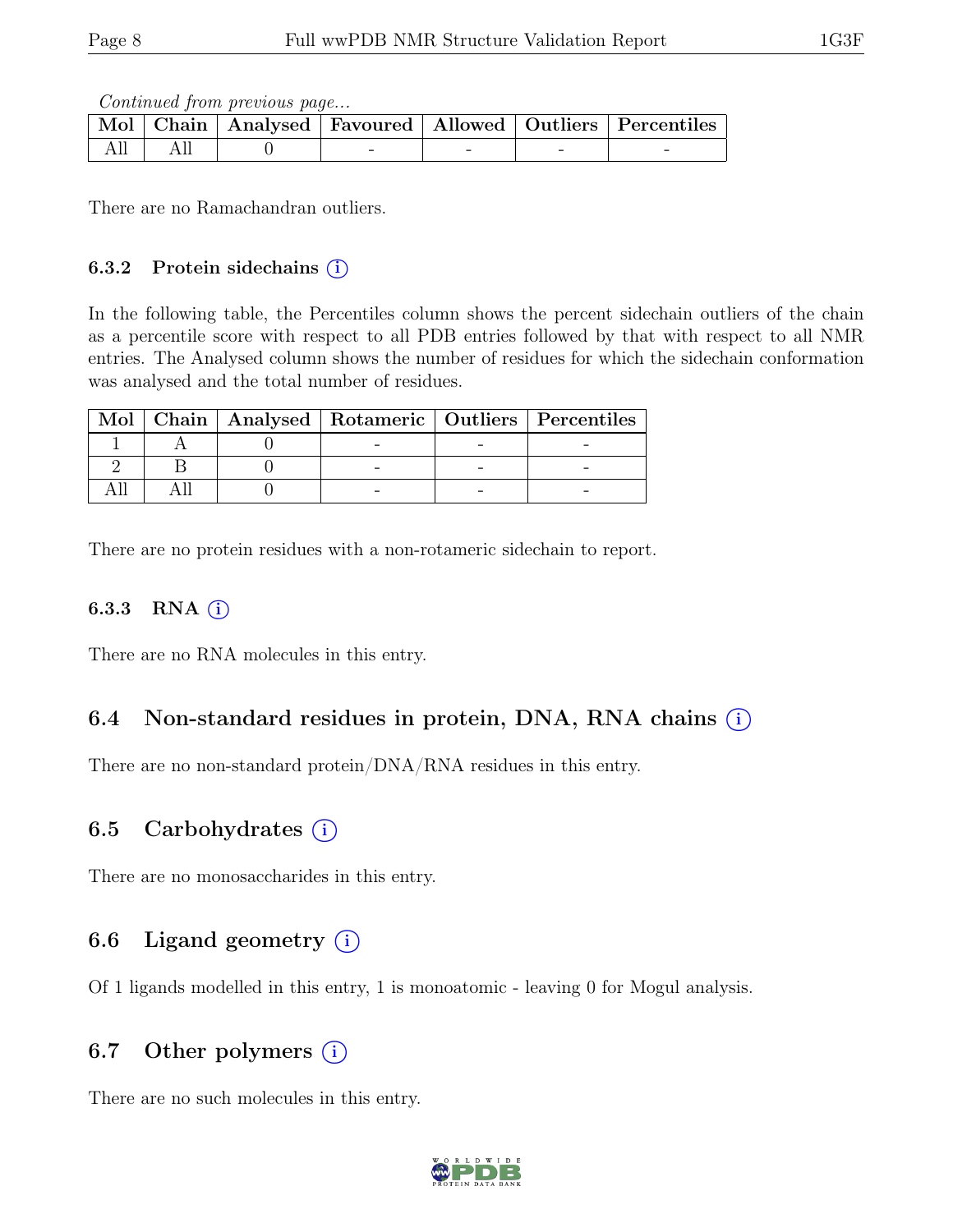Continued from previous page...

|  |  |  | Mol   Chain   Analysed   Favoured   Allowed   Outliers   Percentiles |
|--|--|--|----------------------------------------------------------------------|
|  |  |  |                                                                      |

There are no Ramachandran outliers.

#### 6.3.2 Protein sidechains  $(i)$

In the following table, the Percentiles column shows the percent sidechain outliers of the chain as a percentile score with respect to all PDB entries followed by that with respect to all NMR entries. The Analysed column shows the number of residues for which the sidechain conformation was analysed and the total number of residues.

|  |  | Mol   Chain   Analysed   Rotameric   Outliers   Percentiles |
|--|--|-------------------------------------------------------------|
|  |  |                                                             |
|  |  |                                                             |
|  |  |                                                             |

There are no protein residues with a non-rotameric sidechain to report.

#### 6.3.3 RNA  $(i)$

There are no RNA molecules in this entry.

### 6.4 Non-standard residues in protein, DNA, RNA chains (i)

There are no non-standard protein/DNA/RNA residues in this entry.

### 6.5 Carbohydrates  $(i)$

There are no monosaccharides in this entry.

### 6.6 Ligand geometry  $(i)$

Of 1 ligands modelled in this entry, 1 is monoatomic - leaving 0 for Mogul analysis.

### 6.7 Other polymers  $(i)$

There are no such molecules in this entry.

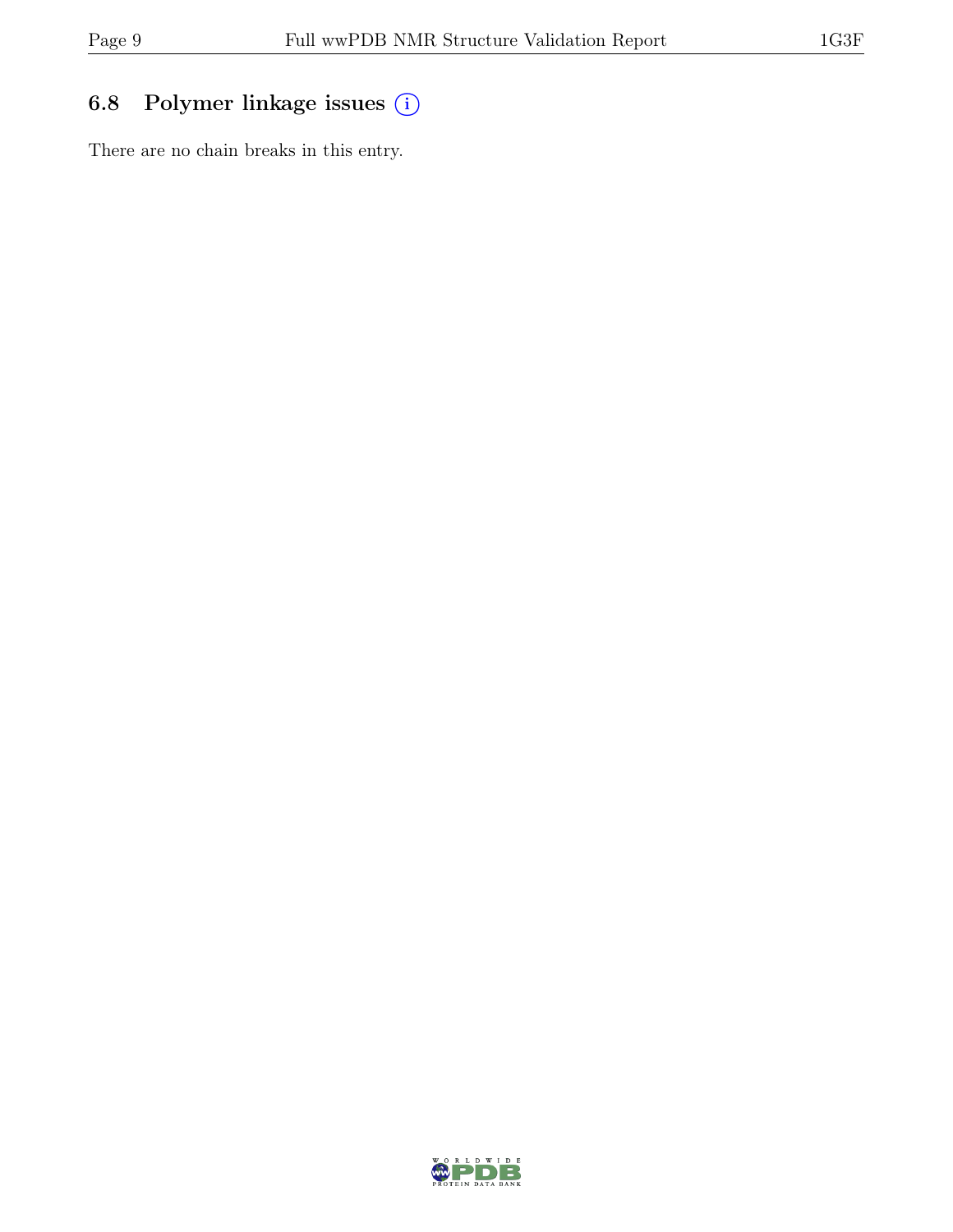## 6.8 Polymer linkage issues (i)

There are no chain breaks in this entry.